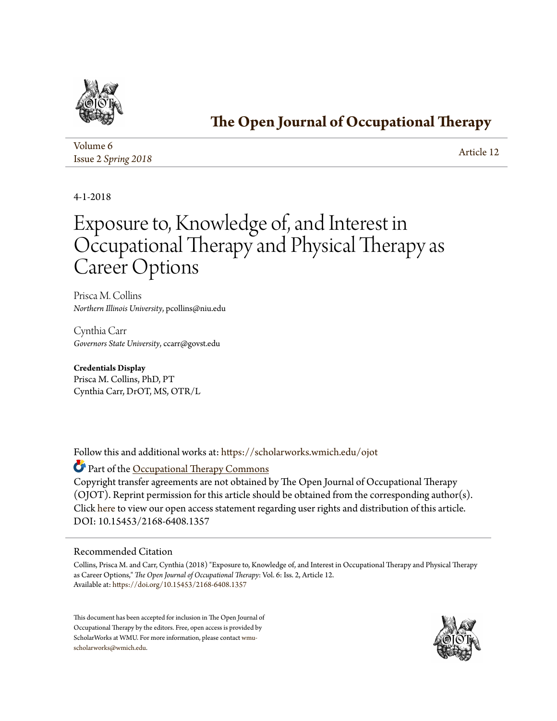

## **[The Open Journal of Occupational Therapy](https://scholarworks.wmich.edu/ojot?utm_source=scholarworks.wmich.edu%2Fojot%2Fvol6%2Fiss2%2F12&utm_medium=PDF&utm_campaign=PDFCoverPages)**

| Volume 6            | Article 12 |
|---------------------|------------|
| Issue 2 Spring 2018 |            |

4-1-2018

# Exposure to, Knowledge of, and Interest in Occupational Therapy and Physical Therapy as Career Options

Prisca M. Collins *Northern Illinois University*, pcollins@niu.edu

Cynthia Carr *Governors State University*, ccarr@govst.edu

**Credentials Display** Prisca M. Collins, PhD, PT Cynthia Carr, DrOT, MS, OTR/L

Follow this and additional works at: [https://scholarworks.wmich.edu/ojot](https://scholarworks.wmich.edu/ojot?utm_source=scholarworks.wmich.edu%2Fojot%2Fvol6%2Fiss2%2F12&utm_medium=PDF&utm_campaign=PDFCoverPages)

Part of the [Occupational Therapy Commons](http://network.bepress.com/hgg/discipline/752?utm_source=scholarworks.wmich.edu%2Fojot%2Fvol6%2Fiss2%2F12&utm_medium=PDF&utm_campaign=PDFCoverPages)

Copyright transfer agreements are not obtained by The Open Journal of Occupational Therapy (OJOT). Reprint permission for this article should be obtained from the corresponding author(s). Click [here](http://scholarworks.wmich.edu/ojot/policies.html#rights) to view our open access statement regarding user rights and distribution of this article. DOI: 10.15453/2168-6408.1357

#### Recommended Citation

Collins, Prisca M. and Carr, Cynthia (2018) "Exposure to, Knowledge of, and Interest in Occupational Therapy and Physical Therapy as Career Options," *The Open Journal of Occupational Therapy*: Vol. 6: Iss. 2, Article 12. Available at: [https://doi.org/10.15453/2168-6408.1357](http://dx.doi.org/10.15453/2168-6408.1357)

This document has been accepted for inclusion in The Open Journal of Occupational Therapy by the editors. Free, open access is provided by ScholarWorks at WMU. For more information, please contact [wmu](mailto:wmu-scholarworks@wmich.edu)[scholarworks@wmich.edu.](mailto:wmu-scholarworks@wmich.edu)

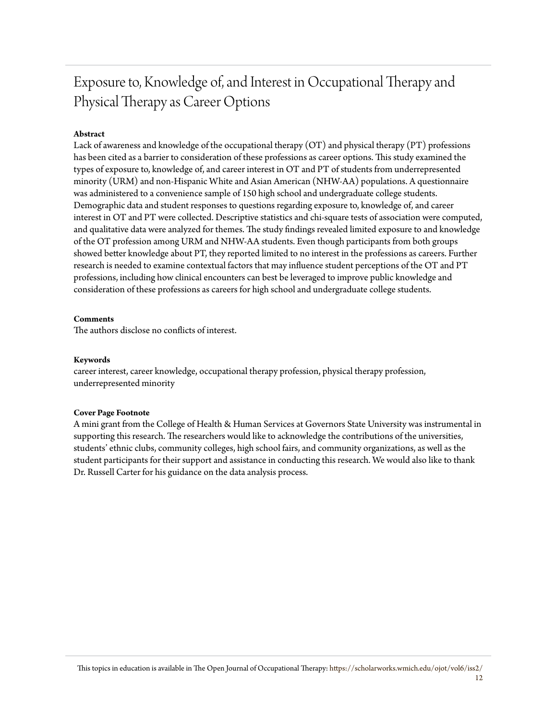## Exposure to, Knowledge of, and Interest in Occupational Therapy and Physical Therapy as Career Options

#### **Abstract**

Lack of awareness and knowledge of the occupational therapy (OT) and physical therapy (PT) professions has been cited as a barrier to consideration of these professions as career options. This study examined the types of exposure to, knowledge of, and career interest in OT and PT of students from underrepresented minority (URM) and non-Hispanic White and Asian American (NHW-AA) populations. A questionnaire was administered to a convenience sample of 150 high school and undergraduate college students. Demographic data and student responses to questions regarding exposure to, knowledge of, and career interest in OT and PT were collected. Descriptive statistics and chi-square tests of association were computed, and qualitative data were analyzed for themes. The study findings revealed limited exposure to and knowledge of the OT profession among URM and NHW-AA students. Even though participants from both groups showed better knowledge about PT, they reported limited to no interest in the professions as careers. Further research is needed to examine contextual factors that may influence student perceptions of the OT and PT professions, including how clinical encounters can best be leveraged to improve public knowledge and consideration of these professions as careers for high school and undergraduate college students.

#### **Comments**

The authors disclose no conflicts of interest.

#### **Keywords**

career interest, career knowledge, occupational therapy profession, physical therapy profession, underrepresented minority

#### **Cover Page Footnote**

A mini grant from the College of Health & Human Services at Governors State University was instrumental in supporting this research. The researchers would like to acknowledge the contributions of the universities, students' ethnic clubs, community colleges, high school fairs, and community organizations, as well as the student participants for their support and assistance in conducting this research. We would also like to thank Dr. Russell Carter for his guidance on the data analysis process.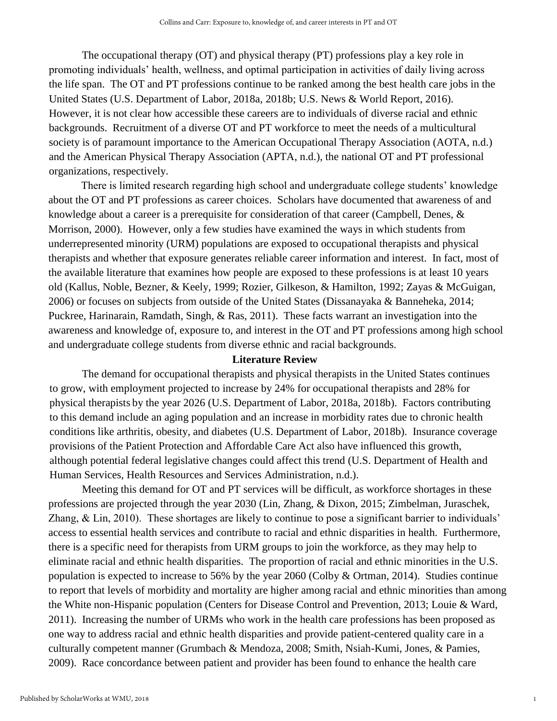The occupational therapy (OT) and physical therapy (PT) professions play a key role in promoting individuals' health, wellness, and optimal participation in activities of daily living across the life span. The OT and PT professions continue to be ranked among the best health care jobs in the United States (U.S. Department of Labor, 2018a, 2018b; U.S. News & World Report, 2016). However, it is not clear how accessible these careers are to individuals of diverse racial and ethnic backgrounds. Recruitment of a diverse OT and PT workforce to meet the needs of a multicultural society is of paramount importance to the American Occupational Therapy Association (AOTA, n.d.) and the American Physical Therapy Association (APTA, n.d.), the national OT and PT professional organizations, respectively.

There is limited research regarding high school and undergraduate college students' knowledge about the OT and PT professions as career choices. Scholars have documented that awareness of and knowledge about a career is a prerequisite for consideration of that career (Campbell, Denes, & Morrison, 2000). However, only a few studies have examined the ways in which students from underrepresented minority (URM) populations are exposed to occupational therapists and physical therapists and whether that exposure generates reliable career information and interest. In fact, most of the available literature that examines how people are exposed to these professions is at least 10 years old (Kallus, Noble, Bezner, & Keely, 1999; Rozier, Gilkeson, & Hamilton, 1992; Zayas & McGuigan, 2006) or focuses on subjects from outside of the United States (Dissanayaka & Banneheka, 2014; Puckree, Harinarain, Ramdath, Singh, & Ras, 2011). These facts warrant an investigation into the awareness and knowledge of, exposure to, and interest in the OT and PT professions among high school and undergraduate college students from diverse ethnic and racial backgrounds.

#### **Literature Review**

The demand for occupational therapists and physical therapists in the United States continues to grow, with employment projected to increase by 24% for occupational therapists and 28% for physical therapists by the year 2026 (U.S. Department of Labor, 2018a, 2018b). Factors contributing to this demand include an aging population and an increase in morbidity rates due to chronic health conditions like arthritis, obesity, and diabetes (U.S. Department of Labor, 2018b). Insurance coverage provisions of the Patient Protection and Affordable Care Act also have influenced this growth, although potential federal legislative changes could affect this trend (U.S. Department of Health and Human Services, Health Resources and Services Administration, n.d.).

Meeting this demand for OT and PT services will be difficult, as workforce shortages in these professions are projected through the year 2030 (Lin, Zhang, & Dixon, 2015; Zimbelman, Juraschek, Zhang, & Lin, 2010). These shortages are likely to continue to pose a significant barrier to individuals' access to essential health services and contribute to racial and ethnic disparities in health. Furthermore, there is a specific need for therapists from URM groups to join the workforce, as they may help to eliminate racial and ethnic health disparities. The proportion of racial and ethnic minorities in the U.S. population is expected to increase to 56% by the year 2060 (Colby & Ortman, 2014). Studies continue to report that levels of morbidity and mortality are higher among racial and ethnic minorities than among the White non-Hispanic population (Centers for Disease Control and Prevention, 2013; Louie & Ward, 2011). Increasing the number of URMs who work in the health care professions has been proposed as one way to address racial and ethnic health disparities and provide patient-centered quality care in a culturally competent manner (Grumbach & Mendoza, 2008; Smith, Nsiah-Kumi, Jones, & Pamies, 2009). Race concordance between patient and provider has been found to enhance the health care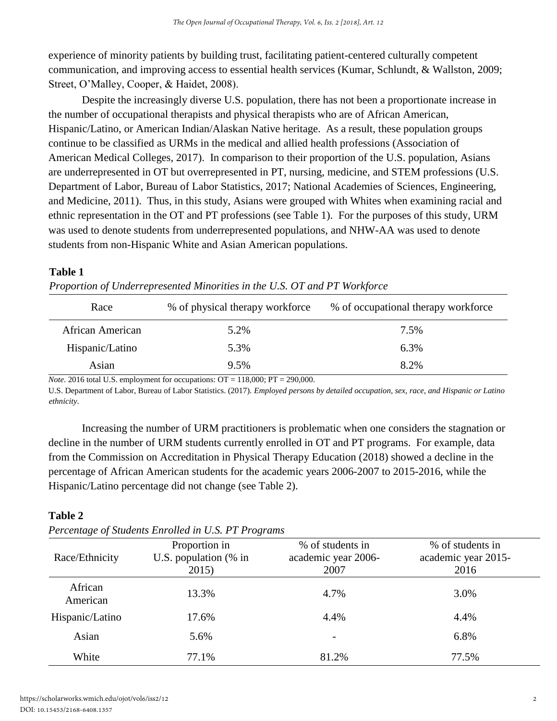experience of minority patients by building trust, facilitating patient-centered culturally competent communication, and improving access to essential health services (Kumar, Schlundt, & Wallston, 2009; Street, O'Malley, Cooper, & Haidet, 2008).

Despite the increasingly diverse U.S. population, there has not been a proportionate increase in the number of occupational therapists and physical therapists who are of African American, Hispanic/Latino, or American Indian/Alaskan Native heritage. As a result, these population groups continue to be classified as URMs in the medical and allied health professions (Association of American Medical Colleges, 2017). In comparison to their proportion of the U.S. population, Asians are underrepresented in OT but overrepresented in PT, nursing, medicine, and STEM professions (U.S. Department of Labor, Bureau of Labor Statistics, 2017; National Academies of Sciences, Engineering, and Medicine, 2011). Thus, in this study, Asians were grouped with Whites when examining racial and ethnic representation in the OT and PT professions (see Table 1). For the purposes of this study, URM was used to denote students from underrepresented populations, and NHW-AA was used to denote students from non-Hispanic White and Asian American populations.

## **Table 1**

| Race             | % of physical therapy workforce | % of occupational therapy workforce |  |
|------------------|---------------------------------|-------------------------------------|--|
| African American | 5.2%                            | 7.5%                                |  |
| Hispanic/Latino  | 5.3%                            | 6.3%                                |  |
| Asian            | 9.5%                            | 8.2%                                |  |

*Proportion of Underrepresented Minorities in the U.S. OT and PT Workforce* 

*Note*. 2016 total U.S. employment for occupations:  $OT = 118,000$ ;  $PT = 290,000$ .

U.S. Department of Labor, Bureau of Labor Statistics. (2017). *Employed persons by detailed occupation, sex, race, and Hispanic or Latino ethnicity*.

Increasing the number of URM practitioners is problematic when one considers the stagnation or decline in the number of URM students currently enrolled in OT and PT programs. For example, data from the Commission on Accreditation in Physical Therapy Education (2018) showed a decline in the percentage of African American students for the academic years 2006-2007 to 2015-2016, while the Hispanic/Latino percentage did not change (see Table 2).

## **Table 2**

| Race/Ethnicity      | Proportion in<br>U.S. population (% in<br>2015) | % of students in<br>academic year 2006-<br>2007 | % of students in<br>academic year 2015-<br>2016 |
|---------------------|-------------------------------------------------|-------------------------------------------------|-------------------------------------------------|
| African<br>American | 13.3%                                           | 4.7%                                            | 3.0%                                            |
| Hispanic/Latino     | 17.6%                                           | 4.4%                                            | 4.4%                                            |
| Asian               | 5.6%                                            | $\overline{\phantom{a}}$                        | 6.8%                                            |
| White               | 77.1%                                           | 81.2%                                           | 77.5%                                           |

*Percentage of Students Enrolled in U.S. PT Programs*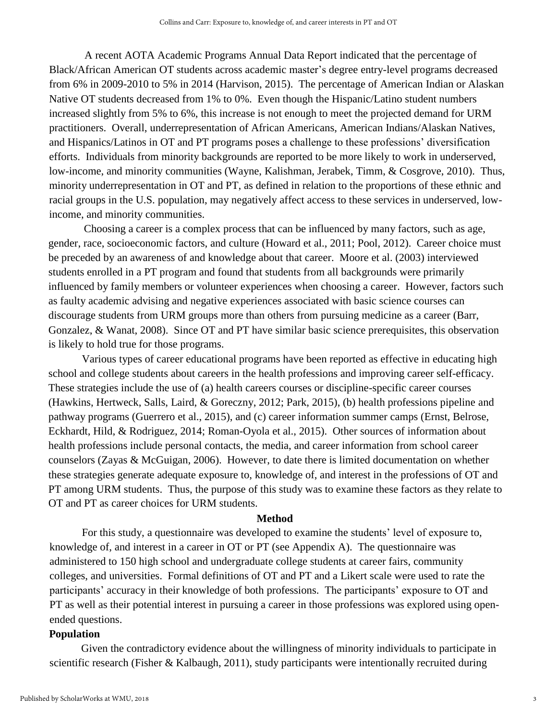A recent AOTA Academic Programs Annual Data Report indicated that the percentage of Black/African American OT students across academic master's degree entry-level programs decreased from 6% in 2009-2010 to 5% in 2014 (Harvison, 2015). The percentage of American Indian or Alaskan Native OT students decreased from 1% to 0%. Even though the Hispanic/Latino student numbers increased slightly from 5% to 6%, this increase is not enough to meet the projected demand for URM practitioners. Overall, underrepresentation of African Americans, American Indians/Alaskan Natives, and Hispanics/Latinos in OT and PT programs poses a challenge to these professions' diversification efforts. Individuals from minority backgrounds are reported to be more likely to work in underserved, low-income, and minority communities (Wayne, Kalishman, Jerabek, Timm, & Cosgrove, 2010). Thus, minority underrepresentation in OT and PT, as defined in relation to the proportions of these ethnic and racial groups in the U.S. population, may negatively affect access to these services in underserved, lowincome, and minority communities.

Choosing a career is a complex process that can be influenced by many factors, such as age, gender, race, socioeconomic factors, and culture (Howard et al., 2011; Pool, 2012). Career choice must be preceded by an awareness of and knowledge about that career. Moore et al. (2003) interviewed students enrolled in a PT program and found that students from all backgrounds were primarily influenced by family members or volunteer experiences when choosing a career. However, factors such as faulty academic advising and negative experiences associated with basic science courses can discourage students from URM groups more than others from pursuing medicine as a career (Barr, Gonzalez, & Wanat, 2008). Since OT and PT have similar basic science prerequisites, this observation is likely to hold true for those programs.

Various types of career educational programs have been reported as effective in educating high school and college students about careers in the health professions and improving career self-efficacy. These strategies include the use of (a) health careers courses or discipline-specific career courses (Hawkins, Hertweck, Salls, Laird, & Goreczny, 2012; Park, 2015), (b) health professions pipeline and pathway programs (Guerrero et al., 2015), and (c) career information summer camps (Ernst, Belrose, Eckhardt, Hild, & Rodriguez, 2014; Roman-Oyola et al., 2015). Other sources of information about health professions include personal contacts, the media, and career information from school career counselors (Zayas & McGuigan, 2006). However, to date there is limited documentation on whether these strategies generate adequate exposure to, knowledge of, and interest in the professions of OT and PT among URM students. Thus, the purpose of this study was to examine these factors as they relate to OT and PT as career choices for URM students.

#### **Method**

For this study, a questionnaire was developed to examine the students' level of exposure to, knowledge of, and interest in a career in OT or PT (see Appendix A). The questionnaire was administered to 150 high school and undergraduate college students at career fairs, community colleges, and universities. Formal definitions of OT and PT and a Likert scale were used to rate the participants' accuracy in their knowledge of both professions. The participants' exposure to OT and PT as well as their potential interest in pursuing a career in those professions was explored using openended questions.

#### **Population**

Given the contradictory evidence about the willingness of minority individuals to participate in scientific research (Fisher & Kalbaugh, 2011), study participants were intentionally recruited during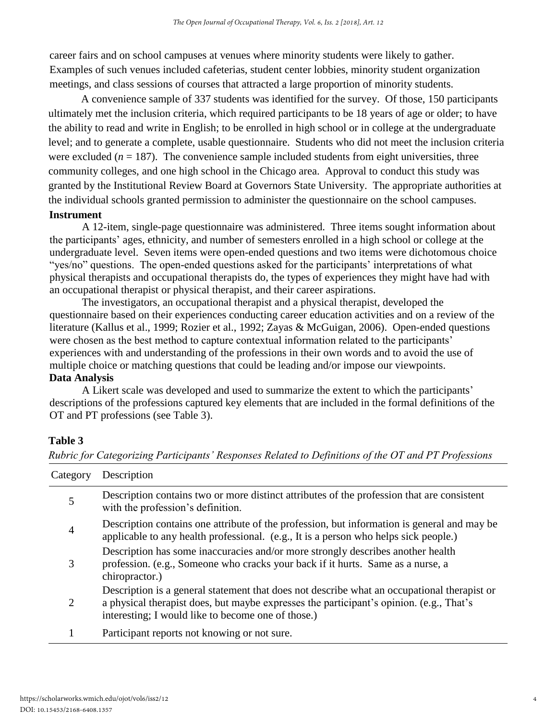career fairs and on school campuses at venues where minority students were likely to gather. Examples of such venues included cafeterias, student center lobbies, minority student organization meetings, and class sessions of courses that attracted a large proportion of minority students.

A convenience sample of 337 students was identified for the survey. Of those, 150 participants ultimately met the inclusion criteria, which required participants to be 18 years of age or older; to have the ability to read and write in English; to be enrolled in high school or in college at the undergraduate level; and to generate a complete, usable questionnaire. Students who did not meet the inclusion criteria were excluded  $(n = 187)$ . The convenience sample included students from eight universities, three community colleges, and one high school in the Chicago area. Approval to conduct this study was granted by the Institutional Review Board at Governors State University. The appropriate authorities at the individual schools granted permission to administer the questionnaire on the school campuses. **Instrument**

A 12-item, single-page questionnaire was administered. Three items sought information about the participants' ages, ethnicity, and number of semesters enrolled in a high school or college at the undergraduate level. Seven items were open-ended questions and two items were dichotomous choice "yes/no" questions. The open-ended questions asked for the participants' interpretations of what physical therapists and occupational therapists do, the types of experiences they might have had with an occupational therapist or physical therapist, and their career aspirations.

The investigators, an occupational therapist and a physical therapist, developed the questionnaire based on their experiences conducting career education activities and on a review of the literature (Kallus et al., 1999; Rozier et al., 1992; Zayas & McGuigan, 2006). Open-ended questions were chosen as the best method to capture contextual information related to the participants' experiences with and understanding of the professions in their own words and to avoid the use of multiple choice or matching questions that could be leading and/or impose our viewpoints.

#### **Data Analysis**

A Likert scale was developed and used to summarize the extent to which the participants' descriptions of the professions captured key elements that are included in the formal definitions of the OT and PT professions (see Table 3).

## **Table 3**

| Category       | Description                                                                                                                                                                                                                                  |
|----------------|----------------------------------------------------------------------------------------------------------------------------------------------------------------------------------------------------------------------------------------------|
| 5              | Description contains two or more distinct attributes of the profession that are consistent<br>with the profession's definition.                                                                                                              |
| $\overline{4}$ | Description contains one attribute of the profession, but information is general and may be<br>applicable to any health professional. (e.g., It is a person who helps sick people.)                                                          |
| 3              | Description has some inaccuracies and/or more strongly describes another health<br>profession. (e.g., Someone who cracks your back if it hurts. Same as a nurse, a<br>chiropractor.)                                                         |
| 2              | Description is a general statement that does not describe what an occupational therapist or<br>a physical therapist does, but maybe expresses the participant's opinion. (e.g., That's<br>interesting; I would like to become one of those.) |
|                | Participant reports not knowing or not sure.                                                                                                                                                                                                 |

*Rubric for Categorizing Participants' Responses Related to Definitions of the OT and PT Professions*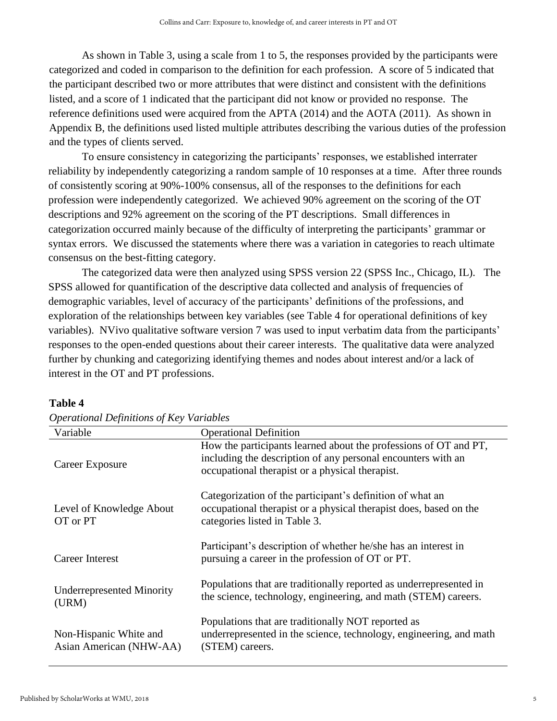As shown in Table 3, using a scale from 1 to 5, the responses provided by the participants were categorized and coded in comparison to the definition for each profession. A score of 5 indicated that the participant described two or more attributes that were distinct and consistent with the definitions listed, and a score of 1 indicated that the participant did not know or provided no response. The reference definitions used were acquired from the APTA (2014) and the AOTA (2011). As shown in Appendix B, the definitions used listed multiple attributes describing the various duties of the profession and the types of clients served.

To ensure consistency in categorizing the participants' responses, we established interrater reliability by independently categorizing a random sample of 10 responses at a time. After three rounds of consistently scoring at 90%-100% consensus, all of the responses to the definitions for each profession were independently categorized. We achieved 90% agreement on the scoring of the OT descriptions and 92% agreement on the scoring of the PT descriptions. Small differences in categorization occurred mainly because of the difficulty of interpreting the participants' grammar or syntax errors. We discussed the statements where there was a variation in categories to reach ultimate consensus on the best-fitting category.

The categorized data were then analyzed using SPSS version 22 (SPSS Inc., Chicago, IL). The SPSS allowed for quantification of the descriptive data collected and analysis of frequencies of demographic variables, level of accuracy of the participants' definitions of the professions, and exploration of the relationships between key variables (see Table 4 for operational definitions of key variables). NVivo qualitative software version 7 was used to input verbatim data from the participants' responses to the open-ended questions about their career interests. The qualitative data were analyzed further by chunking and categorizing identifying themes and nodes about interest and/or a lack of interest in the OT and PT professions.

| Variable                                          | <b>Operational Definition</b>                                                                                                                                                       |
|---------------------------------------------------|-------------------------------------------------------------------------------------------------------------------------------------------------------------------------------------|
| Career Exposure                                   | How the participants learned about the professions of OT and PT,<br>including the description of any personal encounters with an<br>occupational therapist or a physical therapist. |
| Level of Knowledge About<br>OT or PT              | Categorization of the participant's definition of what an<br>occupational therapist or a physical therapist does, based on the<br>categories listed in Table 3.                     |
| Career Interest                                   | Participant's description of whether he/she has an interest in<br>pursuing a career in the profession of OT or PT.                                                                  |
| <b>Underrepresented Minority</b><br>(URM)         | Populations that are traditionally reported as underrepresented in<br>the science, technology, engineering, and math (STEM) careers.                                                |
| Non-Hispanic White and<br>Asian American (NHW-AA) | Populations that are traditionally NOT reported as<br>underrepresented in the science, technology, engineering, and math<br>(STEM) careers.                                         |

#### **Table 4**

|  | <b>Operational Definitions of Key Variables</b> |  |
|--|-------------------------------------------------|--|
|  |                                                 |  |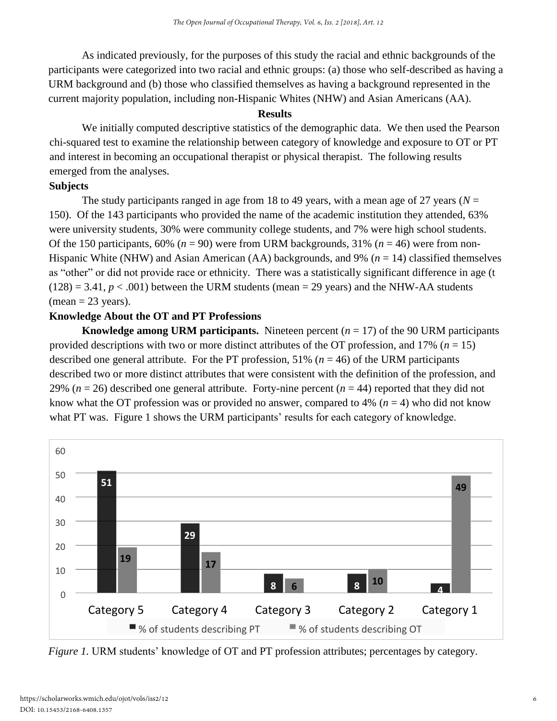As indicated previously, for the purposes of this study the racial and ethnic backgrounds of the participants were categorized into two racial and ethnic groups: (a) those who self-described as having a URM background and (b) those who classified themselves as having a background represented in the current majority population, including non-Hispanic Whites (NHW) and Asian Americans (AA).

#### **Results**

We initially computed descriptive statistics of the demographic data. We then used the Pearson chi-squared test to examine the relationship between category of knowledge and exposure to OT or PT and interest in becoming an occupational therapist or physical therapist. The following results emerged from the analyses.

## **Subjects**

The study participants ranged in age from 18 to 49 years, with a mean age of 27 years ( $N =$ 150). Of the 143 participants who provided the name of the academic institution they attended, 63% were university students, 30% were community college students, and 7% were high school students. Of the 150 participants, 60% ( $n = 90$ ) were from URM backgrounds, 31% ( $n = 46$ ) were from non-Hispanic White (NHW) and Asian American (AA) backgrounds, and 9% (*n* = 14) classified themselves as "other" or did not provide race or ethnicity. There was a statistically significant difference in age (t  $(128) = 3.41, p < .001$ ) between the URM students (mean = 29 years) and the NHW-AA students  $(\text{mean} = 23 \text{ years}).$ 

## **Knowledge About the OT and PT Professions**

**Knowledge among URM participants.** Nineteen percent  $(n = 17)$  of the 90 URM participants provided descriptions with two or more distinct attributes of the OT profession, and 17% (*n* = 15) described one general attribute. For the PT profession, 51% (*n* = 46) of the URM participants described two or more distinct attributes that were consistent with the definition of the profession, and 29% ( $n = 26$ ) described one general attribute. Forty-nine percent ( $n = 44$ ) reported that they did not know what the OT profession was or provided no answer, compared to  $4\%$  ( $n = 4$ ) who did not know what PT was. Figure 1 shows the URM participants' results for each category of knowledge.



*Figure 1.* URM students' knowledge of OT and PT profession attributes; percentages by category.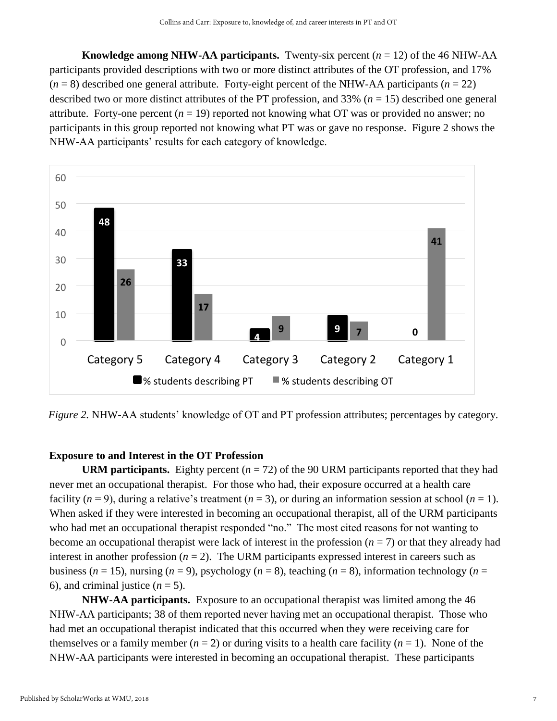**Knowledge among NHW-AA participants.** Twenty-six percent  $(n = 12)$  of the 46 NHW-AA participants provided descriptions with two or more distinct attributes of the OT profession, and 17%  $(n = 8)$  described one general attribute. Forty-eight percent of the NHW-AA participants  $(n = 22)$ described two or more distinct attributes of the PT profession, and 33% (*n* = 15) described one general attribute. Forty-one percent  $(n = 19)$  reported not knowing what OT was or provided no answer; no participants in this group reported not knowing what PT was or gave no response. Figure 2 shows the NHW-AA participants' results for each category of knowledge.



*Figure 2.* NHW-AA students' knowledge of OT and PT profession attributes; percentages by category.

#### **Exposure to and Interest in the OT Profession**

**URM participants.** Eighty percent  $(n = 72)$  of the 90 URM participants reported that they had never met an occupational therapist. For those who had, their exposure occurred at a health care facility  $(n = 9)$ , during a relative's treatment  $(n = 3)$ , or during an information session at school  $(n = 1)$ . When asked if they were interested in becoming an occupational therapist, all of the URM participants who had met an occupational therapist responded "no." The most cited reasons for not wanting to become an occupational therapist were lack of interest in the profession  $(n = 7)$  or that they already had interest in another profession  $(n = 2)$ . The URM participants expressed interest in careers such as business ( $n = 15$ ), nursing ( $n = 9$ ), psychology ( $n = 8$ ), teaching ( $n = 8$ ), information technology ( $n =$ 6), and criminal justice  $(n = 5)$ .

**NHW-AA participants.** Exposure to an occupational therapist was limited among the 46 NHW-AA participants; 38 of them reported never having met an occupational therapist. Those who had met an occupational therapist indicated that this occurred when they were receiving care for themselves or a family member  $(n = 2)$  or during visits to a health care facility  $(n = 1)$ . None of the NHW-AA participants were interested in becoming an occupational therapist. These participants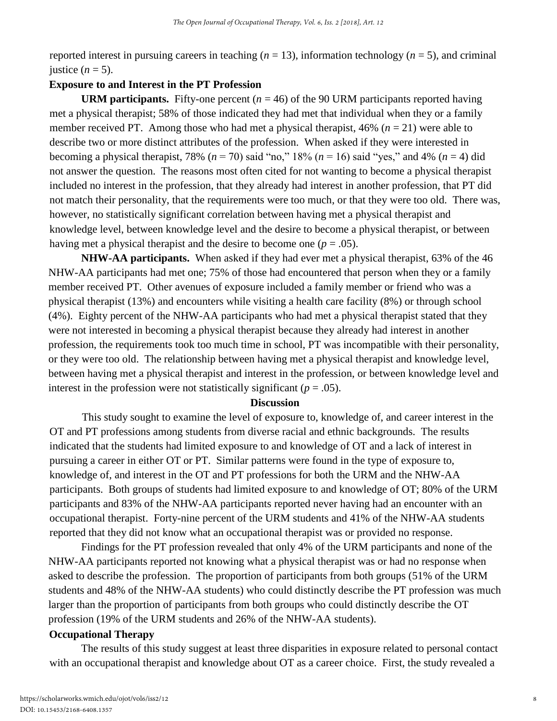reported interest in pursuing careers in teaching  $(n = 13)$ , information technology  $(n = 5)$ , and criminal justice  $(n = 5)$ .

#### **Exposure to and Interest in the PT Profession**

**URM participants.** Fifty-one percent  $(n = 46)$  of the 90 URM participants reported having met a physical therapist; 58% of those indicated they had met that individual when they or a family member received PT. Among those who had met a physical therapist, 46% (*n* = 21) were able to describe two or more distinct attributes of the profession. When asked if they were interested in becoming a physical therapist, 78% ( $n = 70$ ) said "no," 18% ( $n = 16$ ) said "yes," and 4% ( $n = 4$ ) did not answer the question. The reasons most often cited for not wanting to become a physical therapist included no interest in the profession, that they already had interest in another profession, that PT did not match their personality, that the requirements were too much, or that they were too old. There was, however, no statistically significant correlation between having met a physical therapist and knowledge level, between knowledge level and the desire to become a physical therapist, or between having met a physical therapist and the desire to become one  $(p = .05)$ .

**NHW-AA participants.** When asked if they had ever met a physical therapist, 63% of the 46 NHW-AA participants had met one; 75% of those had encountered that person when they or a family member received PT. Other avenues of exposure included a family member or friend who was a physical therapist (13%) and encounters while visiting a health care facility (8%) or through school (4%). Eighty percent of the NHW-AA participants who had met a physical therapist stated that they were not interested in becoming a physical therapist because they already had interest in another profession, the requirements took too much time in school, PT was incompatible with their personality, or they were too old. The relationship between having met a physical therapist and knowledge level, between having met a physical therapist and interest in the profession, or between knowledge level and interest in the profession were not statistically significant  $(p = .05)$ .

#### **Discussion**

This study sought to examine the level of exposure to, knowledge of, and career interest in the OT and PT professions among students from diverse racial and ethnic backgrounds. The results indicated that the students had limited exposure to and knowledge of OT and a lack of interest in pursuing a career in either OT or PT. Similar patterns were found in the type of exposure to, knowledge of, and interest in the OT and PT professions for both the URM and the NHW-AA participants. Both groups of students had limited exposure to and knowledge of OT; 80% of the URM participants and 83% of the NHW-AA participants reported never having had an encounter with an occupational therapist. Forty-nine percent of the URM students and 41% of the NHW-AA students reported that they did not know what an occupational therapist was or provided no response.

Findings for the PT profession revealed that only 4% of the URM participants and none of the NHW-AA participants reported not knowing what a physical therapist was or had no response when asked to describe the profession. The proportion of participants from both groups (51% of the URM students and 48% of the NHW-AA students) who could distinctly describe the PT profession was much larger than the proportion of participants from both groups who could distinctly describe the OT profession (19% of the URM students and 26% of the NHW-AA students).

#### **Occupational Therapy**

The results of this study suggest at least three disparities in exposure related to personal contact with an occupational therapist and knowledge about OT as a career choice. First, the study revealed a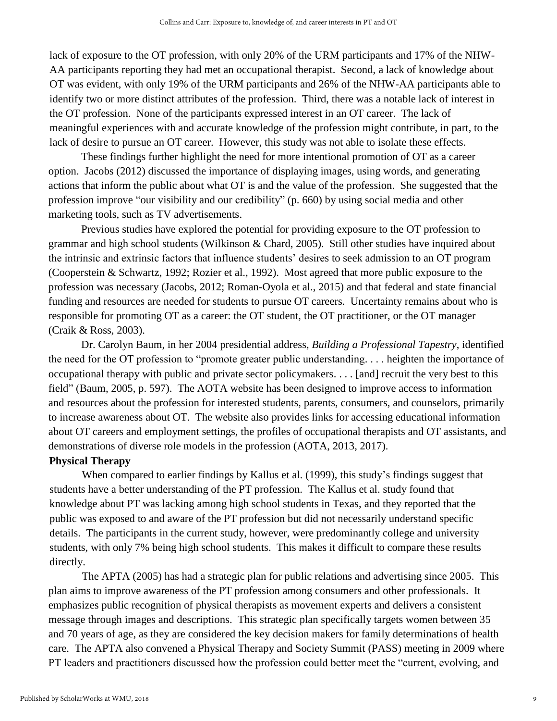lack of exposure to the OT profession, with only 20% of the URM participants and 17% of the NHW-AA participants reporting they had met an occupational therapist. Second, a lack of knowledge about OT was evident, with only 19% of the URM participants and 26% of the NHW-AA participants able to identify two or more distinct attributes of the profession. Third, there was a notable lack of interest in the OT profession. None of the participants expressed interest in an OT career. The lack of meaningful experiences with and accurate knowledge of the profession might contribute, in part, to the lack of desire to pursue an OT career. However, this study was not able to isolate these effects.

These findings further highlight the need for more intentional promotion of OT as a career option. Jacobs (2012) discussed the importance of displaying images, using words, and generating actions that inform the public about what OT is and the value of the profession. She suggested that the profession improve "our visibility and our credibility" (p. 660) by using social media and other marketing tools, such as TV advertisements.

Previous studies have explored the potential for providing exposure to the OT profession to grammar and high school students (Wilkinson & Chard, 2005). Still other studies have inquired about the intrinsic and extrinsic factors that influence students' desires to seek admission to an OT program (Cooperstein & Schwartz, 1992; Rozier et al., 1992). Most agreed that more public exposure to the profession was necessary (Jacobs, 2012; Roman-Oyola et al., 2015) and that federal and state financial funding and resources are needed for students to pursue OT careers. Uncertainty remains about who is responsible for promoting OT as a career: the OT student, the OT practitioner, or the OT manager (Craik & Ross, 2003).

Dr. Carolyn Baum, in her 2004 presidential address, *Building a Professional Tapestry*, identified the need for the OT profession to "promote greater public understanding. . . . heighten the importance of occupational therapy with public and private sector policymakers. . . . [and] recruit the very best to this field" (Baum, 2005, p. 597). The AOTA website has been designed to improve access to information and resources about the profession for interested students, parents, consumers, and counselors, primarily to increase awareness about OT. The website also provides links for accessing educational information about OT careers and employment settings, the profiles of occupational therapists and OT assistants, and demonstrations of diverse role models in the profession (AOTA, 2013, 2017).

#### **Physical Therapy**

When compared to earlier findings by Kallus et al. (1999), this study's findings suggest that students have a better understanding of the PT profession. The Kallus et al. study found that knowledge about PT was lacking among high school students in Texas, and they reported that the public was exposed to and aware of the PT profession but did not necessarily understand specific details. The participants in the current study, however, were predominantly college and university students, with only 7% being high school students. This makes it difficult to compare these results directly.

The APTA (2005) has had a strategic plan for public relations and advertising since 2005. This plan aims to improve awareness of the PT profession among consumers and other professionals. It emphasizes public recognition of physical therapists as movement experts and delivers a consistent message through images and descriptions. This strategic plan specifically targets women between 35 and 70 years of age, as they are considered the key decision makers for family determinations of health care. The APTA also convened a Physical Therapy and Society Summit (PASS) meeting in 2009 where PT leaders and practitioners discussed how the profession could better meet the "current, evolving, and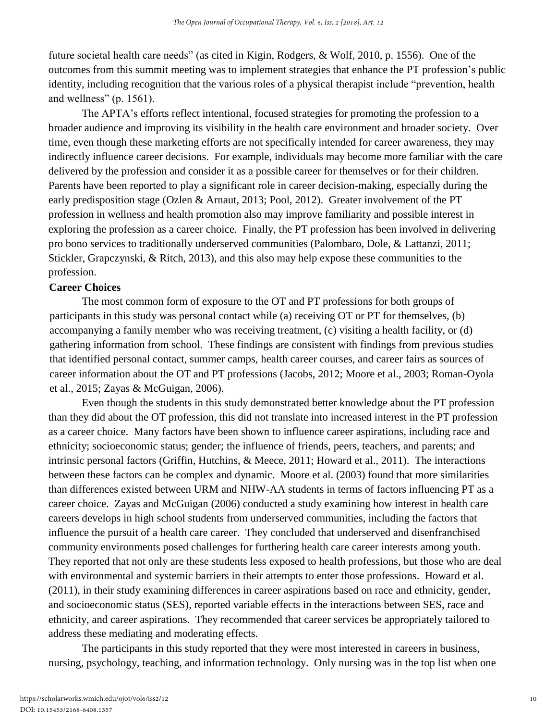future societal health care needs" (as cited in Kigin, Rodgers, & Wolf, 2010, p. 1556). One of the outcomes from this summit meeting was to implement strategies that enhance the PT profession's public identity, including recognition that the various roles of a physical therapist include "prevention, health and wellness" (p. 1561).

The APTA's efforts reflect intentional, focused strategies for promoting the profession to a broader audience and improving its visibility in the health care environment and broader society. Over time, even though these marketing efforts are not specifically intended for career awareness, they may indirectly influence career decisions. For example, individuals may become more familiar with the care delivered by the profession and consider it as a possible career for themselves or for their children. Parents have been reported to play a significant role in career decision-making, especially during the early predisposition stage (Ozlen & Arnaut, 2013; Pool, 2012). Greater involvement of the PT profession in wellness and health promotion also may improve familiarity and possible interest in exploring the profession as a career choice. Finally, the PT profession has been involved in delivering pro bono services to traditionally underserved communities (Palombaro, Dole, & Lattanzi, 2011; Stickler, Grapczynski, & Ritch, 2013), and this also may help expose these communities to the profession.

## **Career Choices**

The most common form of exposure to the OT and PT professions for both groups of participants in this study was personal contact while (a) receiving OT or PT for themselves, (b) accompanying a family member who was receiving treatment, (c) visiting a health facility, or (d) gathering information from school. These findings are consistent with findings from previous studies that identified personal contact, summer camps, health career courses, and career fairs as sources of career information about the OT and PT professions (Jacobs, 2012; Moore et al., 2003; Roman-Oyola et al., 2015; Zayas & McGuigan, 2006).

Even though the students in this study demonstrated better knowledge about the PT profession than they did about the OT profession, this did not translate into increased interest in the PT profession as a career choice. Many factors have been shown to influence career aspirations, including race and ethnicity; socioeconomic status; gender; the influence of friends, peers, teachers, and parents; and intrinsic personal factors (Griffin, Hutchins, & Meece, 2011; Howard et al., 2011). The interactions between these factors can be complex and dynamic. Moore et al. (2003) found that more similarities than differences existed between URM and NHW-AA students in terms of factors influencing PT as a career choice. Zayas and McGuigan (2006) conducted a study examining how interest in health care careers develops in high school students from underserved communities, including the factors that influence the pursuit of a health care career. They concluded that underserved and disenfranchised community environments posed challenges for furthering health care career interests among youth. They reported that not only are these students less exposed to health professions, but those who are deal with environmental and systemic barriers in their attempts to enter those professions. Howard et al. (2011), in their study examining differences in career aspirations based on race and ethnicity, gender, and socioeconomic status (SES), reported variable effects in the interactions between SES, race and ethnicity, and career aspirations. They recommended that career services be appropriately tailored to address these mediating and moderating effects.

The participants in this study reported that they were most interested in careers in business, nursing, psychology, teaching, and information technology. Only nursing was in the top list when one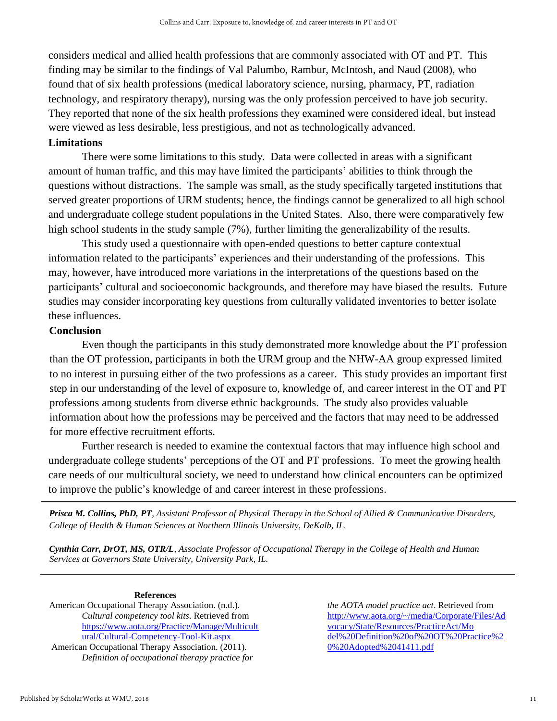considers medical and allied health professions that are commonly associated with OT and PT. This finding may be similar to the findings of Val Palumbo, Rambur, McIntosh, and Naud (2008), who found that of six health professions (medical laboratory science, nursing, pharmacy, PT, radiation technology, and respiratory therapy), nursing was the only profession perceived to have job security. They reported that none of the six health professions they examined were considered ideal, but instead were viewed as less desirable, less prestigious, and not as technologically advanced.

#### **Limitations**

There were some limitations to this study. Data were collected in areas with a significant amount of human traffic, and this may have limited the participants' abilities to think through the questions without distractions. The sample was small, as the study specifically targeted institutions that served greater proportions of URM students; hence, the findings cannot be generalized to all high school and undergraduate college student populations in the United States. Also, there were comparatively few high school students in the study sample (7%), further limiting the generalizability of the results.

This study used a questionnaire with open-ended questions to better capture contextual information related to the participants' experiences and their understanding of the professions. This may, however, have introduced more variations in the interpretations of the questions based on the participants' cultural and socioeconomic backgrounds, and therefore may have biased the results. Future studies may consider incorporating key questions from culturally validated inventories to better isolate these influences.

#### **Conclusion**

Even though the participants in this study demonstrated more knowledge about the PT profession than the OT profession, participants in both the URM group and the NHW-AA group expressed limited to no interest in pursuing either of the two professions as a career. This study provides an important first step in our understanding of the level of exposure to, knowledge of, and career interest in the OT and PT professions among students from diverse ethnic backgrounds. The study also provides valuable information about how the professions may be perceived and the factors that may need to be addressed for more effective recruitment efforts.

Further research is needed to examine the contextual factors that may influence high school and undergraduate college students' perceptions of the OT and PT professions. To meet the growing health care needs of our multicultural society, we need to understand how clinical encounters can be optimized to improve the public's knowledge of and career interest in these professions.

*Prisca M. Collins, PhD, PT, Assistant Professor of Physical Therapy in the School of Allied & Communicative Disorders, College of Health & Human Sciences at Northern Illinois University, DeKalb, IL.*

*Cynthia Carr, DrOT, MS, OTR/L, Associate Professor of Occupational Therapy in the College of Health and Human Services at Governors State University, University Park, IL.*

#### **References**

American Occupational Therapy Association. (n.d.). *Cultural competency tool kits*. Retrieved from [https://www.aota.org/Practice/Manage/Multicult](https://www.aota.org/Practice/Manage/Multicultural/Cultural-Competency-Tool-Kit.aspx) [ural/Cultural-Competency-Tool-Kit.aspx](https://www.aota.org/Practice/Manage/Multicultural/Cultural-Competency-Tool-Kit.aspx)

American Occupational Therapy Association. (2011). *Definition of occupational therapy practice for*  *the AOTA model practice act*. Retrieved from [http://www.aota.org/~/media/Corporate/Files/Ad](http://www.aota.org/~/media/Corporate/Files/Advocacy/State/Resources/PracticeAct/Model%20Definition%20of%20OT%20Practice%20%20Adopted%2041411.pdf) [vocacy/State/Resources/PracticeAct/Mo](http://www.aota.org/~/media/Corporate/Files/Advocacy/State/Resources/PracticeAct/Model%20Definition%20of%20OT%20Practice%20%20Adopted%2041411.pdf)  [del%20Definition%20of%20OT%20Practice%2](http://www.aota.org/~/media/Corporate/Files/Advocacy/State/Resources/PracticeAct/Model%20Definition%20of%20OT%20Practice%20%20Adopted%2041411.pdf) [0%20Adopted%2041411.pdf](http://www.aota.org/~/media/Corporate/Files/Advocacy/State/Resources/PracticeAct/Model%20Definition%20of%20OT%20Practice%20%20Adopted%2041411.pdf)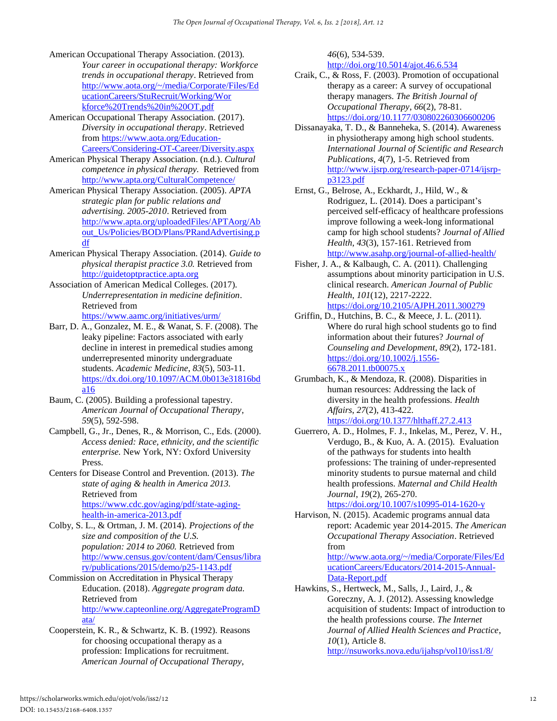- American Occupational Therapy Association. (2013). *Your career in occupational therapy: Workforce trends in occupational therapy*. Retrieved from [http://www.aota.org/~/media/Corporate/Files/Ed](http://www.aota.org/~/media/Corporate/Files/EducationCareers/StuRecruit/Working/Workforce%20Trends%20in%20OT.pdf) [ucationCareers/StuRecruit/Working/Wor](http://www.aota.org/~/media/Corporate/Files/EducationCareers/StuRecruit/Working/Workforce%20Trends%20in%20OT.pdf)  [kforce%20Trends%20in%20OT.pdf](http://www.aota.org/~/media/Corporate/Files/EducationCareers/StuRecruit/Working/Workforce%20Trends%20in%20OT.pdf)
- American Occupational Therapy Association*.* (2017). *Diversity in occupational therapy*. Retrieved from [https://www.aota.org/Education-](https://www.aota.org/Education-Careers/Considering-OT-Career/Diversity.aspx)[Careers/Considering-OT-Career/Diversity.aspx](https://www.aota.org/Education-Careers/Considering-OT-Career/Diversity.aspx)
- American Physical Therapy Association. (n.d.). *Cultural competence in physical therapy.* Retrieved from <http://www.apta.org/CulturalCompetence/>
- American Physical Therapy Association. (2005). *APTA strategic plan for public relations and advertising. 2005-2010*. Retrieved from [http://www.apta.org/uploadedFiles/APTAorg/Ab](http://www.apta.org/uploadedFiles/APTAorg/About_Us/Policies/BOD/Plans/PRandAdvertising.pdf) [out\\_Us/Policies/BOD/Plans/PRandAdvertising.p](http://www.apta.org/uploadedFiles/APTAorg/About_Us/Policies/BOD/Plans/PRandAdvertising.pdf) [df](http://www.apta.org/uploadedFiles/APTAorg/About_Us/Policies/BOD/Plans/PRandAdvertising.pdf)
- American Physical Therapy Association*.* (2014). *Guide to physical therapist practice 3.0.* Retrieved fro[m](http://guidetoptpractice.apta.org/) [http://guidetoptpractice.apta.org](http://guidetoptpractice.apta.org/)
- Association of American Medical Colleges. (2017). *Underrepresentation in medicine definition*. Retrieved from <https://www.aamc.org/initiatives/urm/>
- Barr, D. A., Gonzalez, M. E., & Wanat, S. F. (2008). The leaky pipeline: Factors associated with early decline in interest in premedical studies among underrepresented minority undergraduate students. *Academic Medicine*, *83*(5), 503-11. [https://dx.doi.org/10.1097/ACM.0b013e31816bd](http://dx.doi.org/10.1097/ACM.0b013e31816bda16) [a16](http://dx.doi.org/10.1097/ACM.0b013e31816bda16)
- Baum, C. (2005). Building a professional tapestry. *American Journal of Occupational Therapy*, *59*(5), 592-598.
- Campbell, G., Jr., Denes, R., & Morrison, C., Eds. (2000). *Access denied: Race, ethnicity, and the scientific enterprise.* New York, NY: Oxford University Press.
- Centers for Disease Control and Prevention. (2013). *The state of aging & health in America 2013.*  Retrieved from [https://www.cdc.gov/aging/pdf/state-aging](https://www.cdc.gov/aging/pdf/state-aging-health-in-america-2013.pdf)[health-in-america-2013.pdf](https://www.cdc.gov/aging/pdf/state-aging-health-in-america-2013.pdf)
- Colby, S. L., & Ortman, J. M. (2014). *Projections of the size and composition of the U.S. population: 2014 to 2060.* Retrieved from [http://www.census.gov/content/dam/Census/libra](http://www.census.gov/content/dam/Census/library/publications/2015/demo/p25-1143.pdf) [ry/publications/2015/demo/p25-1143.pdf](http://www.census.gov/content/dam/Census/library/publications/2015/demo/p25-1143.pdf)
- Commission on Accreditation in Physical Therapy Education. (2018). *Aggregate program data.*  Retrieved from [http://www.capteonline.org/AggregateProgramD](http://www.capteonline.org/AggregateProgramData/) [ata/](http://www.capteonline.org/AggregateProgramData/)
- Cooperstein, K. R., & Schwartz, K. B. (1992). Reasons for choosing occupational therapy as a profession: Implications for recruitment. *American Journal of Occupational Therapy*,

*46*(6), 534-539.

<http://doi.org/10.5014/ajot.46.6.534> Craik, C., & Ross, F. (2003). Promotion of occupational

- therapy as a career: A survey of occupational therapy managers. *The British Journal of Occupational Therapy*, *66*(2), 78-81. [https://doi.org/10.1177/030802260306600206](http://doi.org/10.1177/030802260306600206)
- Dissanayaka, T. D., & Banneheka, S. (2014). Awareness in physiotherapy among high school students. *International Journal of Scientific and Research Publications*, *4*(7), 1-5. Retrieved from [http://www.ijsrp.org/research-paper-0714/ijsrp](http://www.ijsrp.org/research-paper-0714/ijsrp-p3123.pdf)[p3123.pdf](http://www.ijsrp.org/research-paper-0714/ijsrp-p3123.pdf)
- Ernst, G., Belrose, A., Eckhardt, J., Hild, W., & Rodriguez, L. (2014). Does a participant's perceived self-efficacy of healthcare professions improve following a week-long informational camp for high school students? *Journal of Allied Health*, *43*(3), 157-161. Retrieved from <http://www.asahp.org/journal-of-allied-health/>
- Fisher, J. A., & Kalbaugh, C. A. (2011). Challenging assumptions about minority participation in U.S. clinical research. *American Journal of Public Health*, *101*(12), 2217-2222. [https://doi.org/10.2105/AJPH.2011.300279](http://doi.org/10.2105/AJPH.2011.300279)
- Griffin, D., Hutchins, B. C., & Meece, J. L. (2011). Where do rural high school students go to find information about their futures? *Journal of Counseling and Development*, *89*(2), 172-181. [https://doi.org/10.1002/j.1556-](http://doi.org/10.1002/j.1556-6678.2011.tb00075.x) [6678.2011.tb00075.x](http://doi.org/10.1002/j.1556-6678.2011.tb00075.x)
- Grumbach, K., & Mendoza, R. (2008). Disparities in human resources: Addressing the lack of diversity in the health professions. *Health Affairs*, *27*(2), 413-422. [https://doi.org/10.1377/hlthaff.27.2.413](http://doi.org/10.1377/hlthaff.27.2.413)
- Guerrero, A. D., Holmes, F. J., Inkelas, M., Perez, V. H., Verdugo, B., & Kuo, A. A. (2015). Evaluation of the pathways for students into health professions: The training of under-represented minority students to pursue maternal and child health professions. *Maternal and Child Health Journal*, *19*(2), 265-270.

[https://doi.org/10.1007/s10995-014-1620-y](http://doi.org/10.1007/s10995-014-1620-y)

Harvison, N. (2015). Academic programs annual data report: Academic year 2014-2015. *The American Occupational Therapy Association*. Retrieved from

[http://www.aota.org/~/media/Corporate/Files/Ed](http://www.aota.org/~/media/Corporate/Files/EducationCareers/Educators/2014-2015-Annual-Data-Report.pdf) [ucationCareers/Educators/2014-2015-Annual-](http://www.aota.org/~/media/Corporate/Files/EducationCareers/Educators/2014-2015-Annual-Data-Report.pdf)[Data-Report.pdf](http://www.aota.org/~/media/Corporate/Files/EducationCareers/Educators/2014-2015-Annual-Data-Report.pdf)

Hawkins, S., Hertweck, M., Salls, J., Laird, J., & Goreczny, A. J. (2012). Assessing knowledge acquisition of students: Impact of introduction to the health professions course. *The Internet Journal of Allied Health Sciences and Practice*, *10*(1), Article 8. <http://nsuworks.nova.edu/ijahsp/vol10/iss1/8/>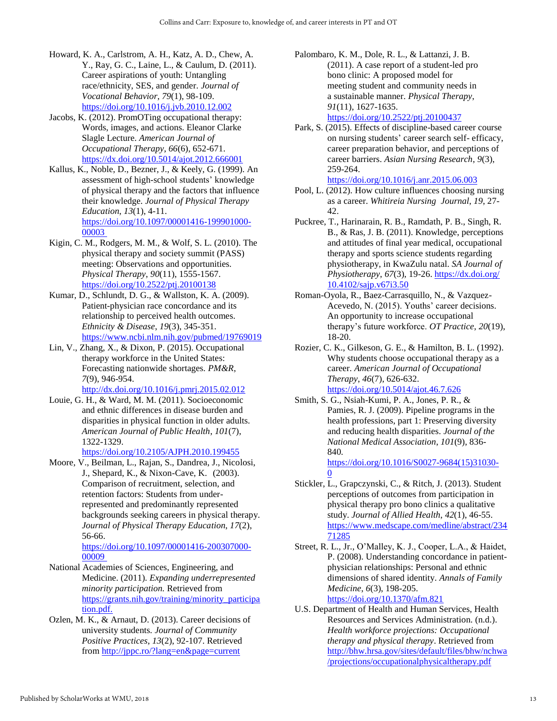- Howard, K. A., Carlstrom, A. H., Katz, A. D., Chew, A. Y., Ray, G. C., Laine, L., & Caulum, D. (2011). Career aspirations of youth: Untangling race/ethnicity, SES, and gender. *Journal of Vocational Behavior*, *79*(1), 98-109. [https://doi.org/10.1016/j.jvb.2010.12.002](http://doi.org/10.1016/j.jvb.2010.12.002)
- Jacobs, K. (2012). PromOTing occupational therapy: Words, images, and actions. Eleanor Clarke Slagle Lecture. *American Journal of Occupational Therapy*, *66*(6), 652-671. <https://dx.doi.org/10.5014/ajot.2012.666001>
- Kallus, K., Noble, D., Bezner, J., & Keely, G. (1999). An assessment of high-school students' knowledge of physical therapy and the factors that influence their knowledge. *Journal of Physical Therapy Education*, *13*(1), 4-11. [https://doi.org/10.1097/00001416-199901000-](https://doi.org/10.1097/00001416-199901000-00003) [00003](https://doi.org/10.1097/00001416-199901000-00003)
- Kigin, C. M., Rodgers, M. M., & Wolf, S. L. (2010). The physical therapy and society summit (PASS) meeting: Observations and opportunities. *Physical Therapy*, *90*(11), 1555-1567. [https://doi.org/10.2522/ptj.20100138](http://doi.org/10.2522/ptj.20100138)
- Kumar, D., Schlundt, D. G., & Wallston, K. A. (2009). Patient-physician race concordance and its relationship to perceived health outcomes. *Ethnicity & Disease*, *19*(3), 345-351. <https://www.ncbi.nlm.nih.gov/pubmed/19769019>
- Lin, V., Zhang, X., & Dixon, P. (2015). Occupational therapy workforce in the United States: Forecasting nationwide shortages. *PM&R*, *7*(9), 946-954.

<http://dx.doi.org/10.1016/j.pmrj.2015.02.012>

Louie, G. H., & Ward, M. M. (2011). Socioeconomic and ethnic differences in disease burden and disparities in physical function in older adults. *American Journal of Public Health*, *101*(7), 1322-1329.

[https://doi.org/10.2105/AJPH.2010.199455](http://doi.org/10.2105/AJPH.2010.199455)

Moore, V., Beilman, L., Rajan, S., Dandrea, J., Nicolosi, J., Shepard, K., & Nixon-Cave, K. (2003). Comparison of recruitment, selection, and retention factors: Students from underrepresented and predominantly represented backgrounds seeking careers in physical therapy. *Journal of Physical Therapy Education*, *17*(2), 56-66.

[https://doi.org/10.1097/00001416-200307000-](https://doi.org/10.1097/00001416-200307000-00009) [00009](https://doi.org/10.1097/00001416-200307000-00009)

- National Academies of Sciences, Engineering, and Medicine. (2011). *Expanding underrepresented minority participation.* Retrieved fro[m](https://grants.nih.gov/training/minority_participation.pdf) [https://grants.nih.gov/training/minority\\_participa](https://grants.nih.gov/training/minority_participation.pdf) [tion.pdf.](https://grants.nih.gov/training/minority_participation.pdf)
- Ozlen, M. K., & Arnaut, D. (2013). Career decisions of university students*. Journal of Community Positive Practices*, *13*(2), 92-107. Retrieved from<http://jppc.ro/?lang=en&page=current>
- Palombaro, K. M., Dole, R. L., & Lattanzi, J. B. (2011). A case report of a student-led pro bono clinic: A proposed model for meeting student and community needs in a sustainable manner. *Physical Therapy*, *91*(11), 1627-1635. [https://doi.org/10.2522/ptj.20100437](http://doi.org/10.2522/ptj.20100437)
- Park, S. (2015). Effects of discipline-based career course on nursing students' career search self- efficacy, career preparation behavior, and perceptions of career barriers. *Asian Nursing Research*, *9*(3), 259-264.

<https://doi.org/10.1016/j.anr.2015.06.003> Pool, L. (2012). How culture influences choosing nursing

- as a career. *Whitireia Nursing Journal*, *19*, 27- 42.
- Puckree, T., Harinarain, R. B., Ramdath, P. B., Singh, R. B., & Ras, J. B. (2011). Knowledge, perceptions and attitudes of final year medical, occupational therapy and sports science students regarding physiotherapy, in KwaZulu natal. *SA Journal of Physiotherapy*, *67*(3), 19-26. [https://dx.doi.org/](https://dx.doi.org/%2010.4102/sajp.v67i3.50)  [10.4102/sajp.v67i3.50](https://dx.doi.org/%2010.4102/sajp.v67i3.50)
- Roman-Oyola, R., Baez-Carrasquillo, N., & Vazquez-Acevedo, N. (2015). Youths' career decisions. An opportunity to increase occupational therapy's future workforce. *OT Practice*, *20*(19), 18-20.
- Rozier, C. K., Gilkeson, G. E., & Hamilton, B. L. (1992). Why students choose occupational therapy as a career. *American Journal of Occupational Therapy*, *46*(7), 626-632. <https://doi.org/10.5014/ajot.46.7.626>
- Smith, S. G., Nsiah-Kumi, P. A., Jones, P. R., & Pamies, R. J. (2009). Pipeline programs in the health professions, part 1: Preserving diversity and reducing health disparities. *Journal of the National Medical Association*, *101*(9), 836- 840*.*

[https://doi.org/10.1016/S0027-9684\(15\)31030-](https://doi.org/10.1016/S0027-9684(15)31030-0)  $\Omega$ 

- Stickler, L., Grapczynski, C., & Ritch, J. (2013). Student perceptions of outcomes from participation in physical therapy pro bono clinics a qualitative study. *Journal of Allied Health*, *42*(1), 46-55. [https://www.medscape.com/medline/abstract/234](https://www.medscape.com/medline/abstract/23471285) [71285](https://www.medscape.com/medline/abstract/23471285)
- Street, R. L., Jr., O'Malley, K. J., Cooper, L.A., & Haidet, P. (2008). Understanding concordance in patientphysician relationships: Personal and ethnic dimensions of shared identity. *Annals of Family Medicine*, *6*(3), 198-205. <https://doi.org/10.1370/afm.821>
- U.S. Department of Health and Human Services, Health Resources and Services Administration. (n.d.). *Health workforce projections: Occupational therapy and physical therapy*. Retrieved from [http://bhw.hrsa.gov/sites/default/files/bhw/nchwa](http://bhw.hrsa.gov/sites/default/files/bhw/nchwa/projections/occupationalphysicaltherapy.pdf) [/projections/occupationalphysicaltherapy.pdf](http://bhw.hrsa.gov/sites/default/files/bhw/nchwa/projections/occupationalphysicaltherapy.pdf)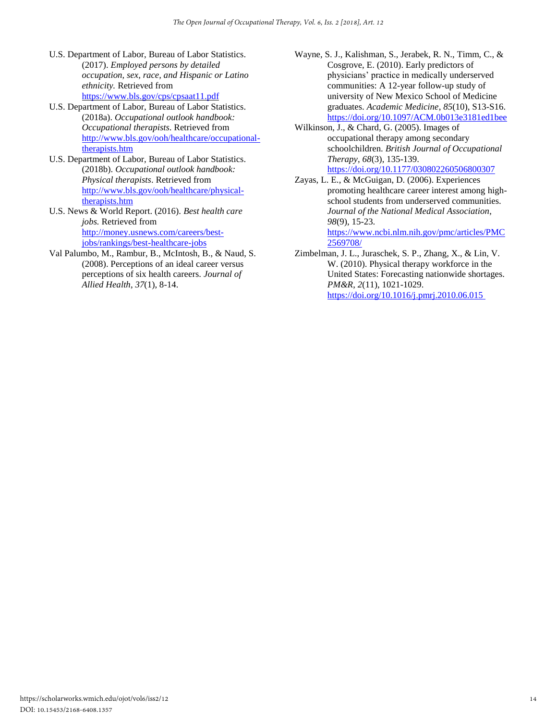- U.S. Department of Labor, Bureau of Labor Statistics. (2017). *Employed persons by detailed occupation, sex, race, and Hispanic or Latino ethnicity.* Retrieved from <https://www.bls.gov/cps/cpsaat11.pdf>
- U.S. Department of Labor, Bureau of Labor Statistics. (2018a). *Occupational outlook handbook: Occupational therapists*. Retrieved from [http://www.bls.gov/ooh/healthcare/occupational](http://www.bls.gov/ooh/healthcare/occupational-therapists.htm)[therapists.htm](http://www.bls.gov/ooh/healthcare/occupational-therapists.htm)
- U.S. Department of Labor, Bureau of Labor Statistics. (2018b). *Occupational outlook handbook: Physical therapists*. Retrieved from [http://www.bls.gov/ooh/healthcare/physical](http://www.bls.gov/ooh/healthcare/physical-therapists.htm)[therapists.htm](http://www.bls.gov/ooh/healthcare/physical-therapists.htm)
- U.S. News & World Report. (2016). *Best health care jobs.* Retrieved from [http://money.usnews.com/careers/best](http://money.usnews.com/careers/best-jobs/rankings/best-healthcare-jobs)[jobs/rankings/best-healthcare-jobs](http://money.usnews.com/careers/best-jobs/rankings/best-healthcare-jobs)
- Val Palumbo, M., Rambur, B., McIntosh, B., & Naud, S. (2008). Perceptions of an ideal career versus perceptions of six health careers. *Journal of Allied Health*, *37*(1), 8-14.
- Wayne, S. J., Kalishman, S., Jerabek, R. N., Timm, C., & Cosgrove, E. (2010). Early predictors of physicians' practice in medically underserved communities: A 12-year follow-up study of university of New Mexico School of Medicine graduates. *Academic Medicine*, *85*(10), S13-S16. <https://doi.org/10.1097/ACM.0b013e3181ed1bee>
- Wilkinson, J., & Chard, G. (2005). Images of occupational therapy among secondary schoolchildren. *British Journal of Occupational Therapy*, *68*(3), 135-139.

<https://doi.org/10.1177/030802260506800307> Zayas, L. E., & McGuigan, D. (2006). Experiences promoting healthcare career interest among high-

school students from underserved communities. *Journal of the National Medical Association*, *98*(9), 15-23. [https://www.ncbi.nlm.nih.gov/pmc/articles/PMC](https://www.ncbi.nlm.nih.gov/pmc/articles/PMC2569708/)

[2569708/](https://www.ncbi.nlm.nih.gov/pmc/articles/PMC2569708/)

Zimbelman, J. L., Juraschek, S. P., Zhang, X., & Lin, V. W. (2010). Physical therapy workforce in the United States: Forecasting nationwide shortages. *PM&R*, *2*(11), 1021-1029. [https://doi.org/10.1016/j.pmrj.2010.06.015](https://doi.org/10.1016/j.pmrj.2010.06.015 )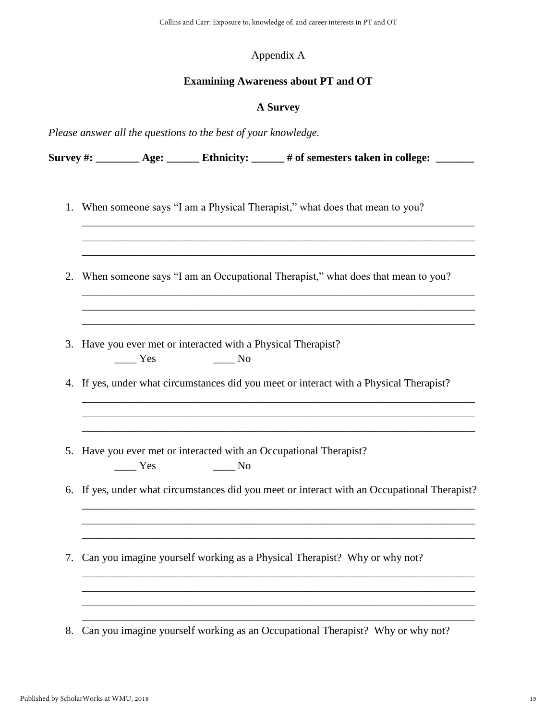## Appendix A

### **Examining Awareness about PT and OT**

## **A Survey**

\_\_\_\_\_\_\_\_\_\_\_\_\_\_\_\_\_\_\_\_\_\_\_\_\_\_\_\_\_\_\_\_\_\_\_\_\_\_\_\_\_\_\_\_\_\_\_\_\_\_\_\_\_\_\_\_\_\_\_\_\_\_\_\_\_\_\_\_\_\_\_\_ \_\_\_\_\_\_\_\_\_\_\_\_\_\_\_\_\_\_\_\_\_\_\_\_\_\_\_\_\_\_\_\_\_\_\_\_\_\_\_\_\_\_\_\_\_\_\_\_\_\_\_\_\_\_\_\_\_\_\_\_\_\_\_\_\_\_\_\_\_\_\_\_ \_\_\_\_\_\_\_\_\_\_\_\_\_\_\_\_\_\_\_\_\_\_\_\_\_\_\_\_\_\_\_\_\_\_\_\_\_\_\_\_\_\_\_\_\_\_\_\_\_\_\_\_\_\_\_\_\_\_\_\_\_\_\_\_\_\_\_\_\_\_\_\_

\_\_\_\_\_\_\_\_\_\_\_\_\_\_\_\_\_\_\_\_\_\_\_\_\_\_\_\_\_\_\_\_\_\_\_\_\_\_\_\_\_\_\_\_\_\_\_\_\_\_\_\_\_\_\_\_\_\_\_\_\_\_\_\_\_\_\_\_\_\_\_\_ \_\_\_\_\_\_\_\_\_\_\_\_\_\_\_\_\_\_\_\_\_\_\_\_\_\_\_\_\_\_\_\_\_\_\_\_\_\_\_\_\_\_\_\_\_\_\_\_\_\_\_\_\_\_\_\_\_\_\_\_\_\_\_\_\_\_\_\_\_\_\_\_ \_\_\_\_\_\_\_\_\_\_\_\_\_\_\_\_\_\_\_\_\_\_\_\_\_\_\_\_\_\_\_\_\_\_\_\_\_\_\_\_\_\_\_\_\_\_\_\_\_\_\_\_\_\_\_\_\_\_\_\_\_\_\_\_\_\_\_\_\_\_\_\_

\_\_\_\_\_\_\_\_\_\_\_\_\_\_\_\_\_\_\_\_\_\_\_\_\_\_\_\_\_\_\_\_\_\_\_\_\_\_\_\_\_\_\_\_\_\_\_\_\_\_\_\_\_\_\_\_\_\_\_\_\_\_\_\_\_\_\_\_\_\_\_\_ \_\_\_\_\_\_\_\_\_\_\_\_\_\_\_\_\_\_\_\_\_\_\_\_\_\_\_\_\_\_\_\_\_\_\_\_\_\_\_\_\_\_\_\_\_\_\_\_\_\_\_\_\_\_\_\_\_\_\_\_\_\_\_\_\_\_\_\_\_\_\_\_ \_\_\_\_\_\_\_\_\_\_\_\_\_\_\_\_\_\_\_\_\_\_\_\_\_\_\_\_\_\_\_\_\_\_\_\_\_\_\_\_\_\_\_\_\_\_\_\_\_\_\_\_\_\_\_\_\_\_\_\_\_\_\_\_\_\_\_\_\_\_\_\_

*Please answer all the questions to the best of your knowledge.* 

Survey #: \_\_\_\_\_\_\_\_ Age: \_\_\_\_\_\_ Ethnicity: \_\_\_\_\_ # of semesters taken in college: \_\_\_\_\_\_

- 1. When someone says "I am a Physical Therapist," what does that mean to you?
- 2. When someone says "I am an Occupational Therapist," what does that mean to you?
- 3. Have you ever met or interacted with a Physical Therapist? \_\_\_\_ Yes \_\_\_\_ No
- 4. If yes, under what circumstances did you meet or interact with a Physical Therapist?
- 5. Have you ever met or interacted with an Occupational Therapist? \_\_\_\_ Yes \_\_\_\_ No
- 6. If yes, under what circumstances did you meet or interact with an Occupational Therapist?

\_\_\_\_\_\_\_\_\_\_\_\_\_\_\_\_\_\_\_\_\_\_\_\_\_\_\_\_\_\_\_\_\_\_\_\_\_\_\_\_\_\_\_\_\_\_\_\_\_\_\_\_\_\_\_\_\_\_\_\_\_\_\_\_\_\_\_\_\_\_\_\_ \_\_\_\_\_\_\_\_\_\_\_\_\_\_\_\_\_\_\_\_\_\_\_\_\_\_\_\_\_\_\_\_\_\_\_\_\_\_\_\_\_\_\_\_\_\_\_\_\_\_\_\_\_\_\_\_\_\_\_\_\_\_\_\_\_\_\_\_\_\_\_\_ \_\_\_\_\_\_\_\_\_\_\_\_\_\_\_\_\_\_\_\_\_\_\_\_\_\_\_\_\_\_\_\_\_\_\_\_\_\_\_\_\_\_\_\_\_\_\_\_\_\_\_\_\_\_\_\_\_\_\_\_\_\_\_\_\_\_\_\_\_\_\_\_

\_\_\_\_\_\_\_\_\_\_\_\_\_\_\_\_\_\_\_\_\_\_\_\_\_\_\_\_\_\_\_\_\_\_\_\_\_\_\_\_\_\_\_\_\_\_\_\_\_\_\_\_\_\_\_\_\_\_\_\_\_\_\_\_\_\_\_\_\_\_\_\_ \_\_\_\_\_\_\_\_\_\_\_\_\_\_\_\_\_\_\_\_\_\_\_\_\_\_\_\_\_\_\_\_\_\_\_\_\_\_\_\_\_\_\_\_\_\_\_\_\_\_\_\_\_\_\_\_\_\_\_\_\_\_\_\_\_\_\_\_\_\_\_\_

\_\_\_\_\_\_\_\_\_\_\_\_\_\_\_\_\_\_\_\_\_\_\_\_\_\_\_\_\_\_\_\_\_\_\_\_\_\_\_\_\_\_\_\_\_\_\_\_\_\_\_\_\_\_\_\_\_\_\_\_\_\_\_\_\_\_\_\_\_\_\_\_

- 7. Can you imagine yourself working as a Physical Therapist? Why or why not?
- 8. Can you imagine yourself working as an Occupational Therapist? Why or why not?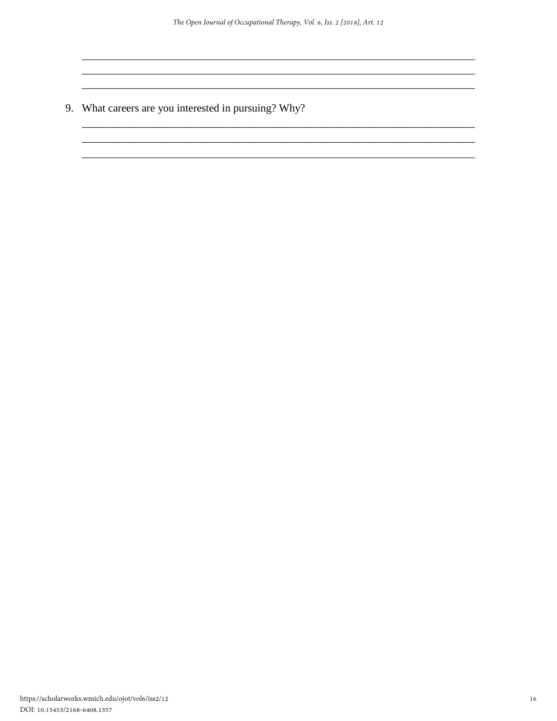9. What careers are you interested in pursuing? Why?